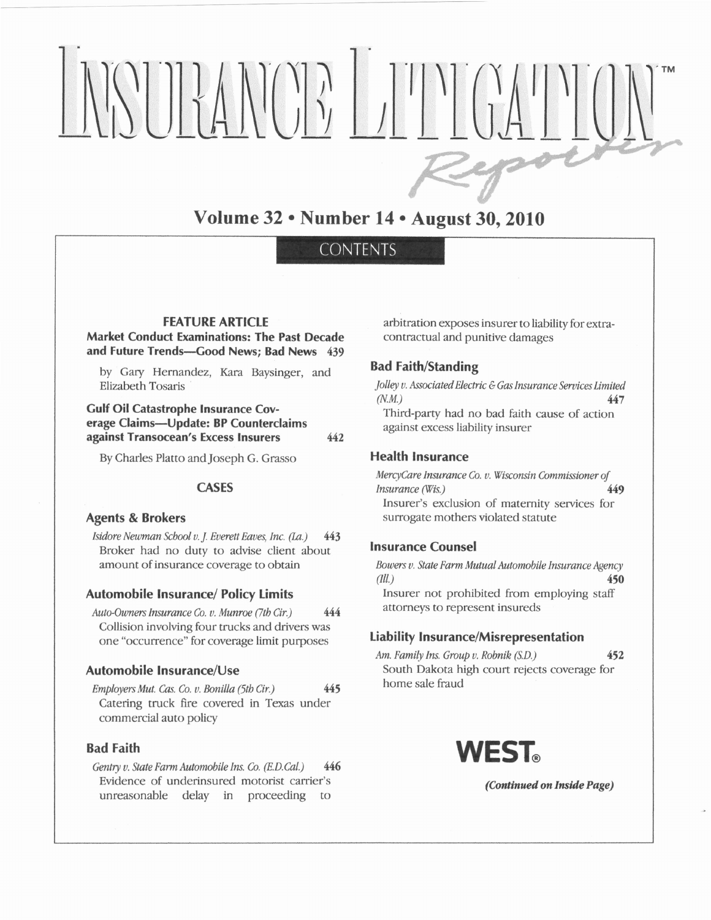# NSUMOPI DILLE

## Volume 32 . Number 14 . August 30, 2010

### **CONTENTS**

#### **FEATURE ARTICLE**

#### Market Conduct Examinations: The Past Decade and Future Trends-Good News; Bad News 439

by Gary Hernandez, Kara Baysinger, and Elizabeth Tosaris

Gulf Oil Catastrophe Insurance Coverage Claims-Update: BP Counterclaims against Transocean's Excess Insurers 442

By Charles Platto and Joseph G. Grasso

#### **CASES**

#### Agents & Brokers

Isidore Newman School v. J. Everett Eaves, Inc. (La.) 443 Broker had no duty to advise client about amount of insurance coverage to obtain

#### Automobile Insurance/ Policy Limits

Auto-Owners Insurance Co. v. Munroe  $(7th Cir.)$  444 Collision involving four trucks and drivers was one "occurrence" for coverage limit purposes

#### Automobile lnsurance/Use

 $Emplovers Mut.$  Cas. Co. v. Bonilla (5tb Cir.)  $445$ Catering truck fire covered in Texas under commercial auto policy

#### Bad Faith

Gentry v. State Farm Automobile Ins. Co. (E.D.Cal.) 446 Evidence of underinsured motorist carrier's unreasonable delay in proceeding to

arbitration exposes insurer to liability for extracontractual and punitive damages

#### Bad Faith/Standing

Jolley v. Associated Electric & Gas Insurance Services Limited  $(N.M.)$ Third-party had no bad faith cause of acrion 447

against excess liabiliry insurer

#### Health Insurance

MercyCare Insurance Co. v. Wisconsin Commissioner of lnsurance (Wis.) 449 Insurer's exclusion of maternity services for surrogate mothers violated statute

#### Insurance Counsel

Bowers v. State Farm Mutual Automobile Insurance Agency (*ill.*)  $450$ Insurer not prohibited from employing staff attorneys to represent insureds

#### tiability lnsurance/Misrepresentation

Am. Family Ins. Group v. Robnik (S.D.) South Dakota high court rejects coverage for home sale fraud 452

VEST

(Continued on Inside Page)